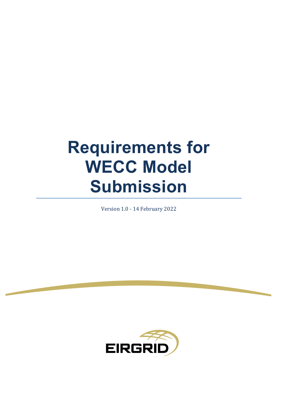# **Requirements for WECC Model Submission**

Version 1.0 - 14 February 2022

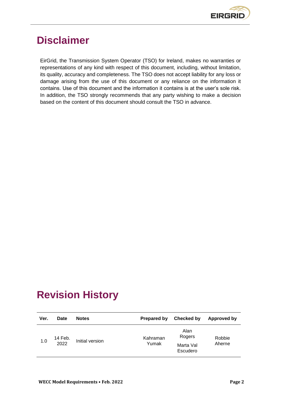

# <span id="page-1-0"></span>**Disclaimer**

EirGrid, the Transmission System Operator (TSO) for Ireland, makes no warranties or representations of any kind with respect of this document, including, without limitation, its quality, accuracy and completeness. The TSO does not accept liability for any loss or damage arising from the use of this document or any reliance on the information it contains. Use of this document and the information it contains is at the user's sole risk. In addition, the TSO strongly recommends that any party wishing to make a decision based on the content of this document should consult the TSO in advance.

# <span id="page-1-1"></span>**Revision History**

| Ver. | Date            | <b>Notes</b>    | <b>Prepared by</b> | Checked by                              | Approved by      |
|------|-----------------|-----------------|--------------------|-----------------------------------------|------------------|
| 1.0  | 14 Feb.<br>2022 | Initial version | Kahraman<br>Yumak  | Alan<br>Rogers<br>Marta Val<br>Escudero | Robbie<br>Aherne |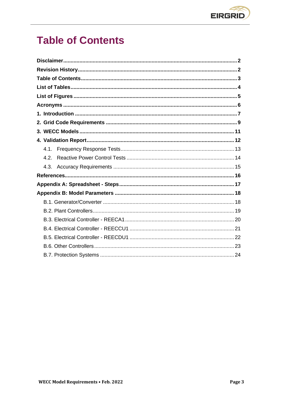

# <span id="page-2-0"></span>**Table of Contents**

| 4.2  |  |
|------|--|
| 4.3. |  |
|      |  |
|      |  |
|      |  |
|      |  |
|      |  |
|      |  |
|      |  |
|      |  |
|      |  |
|      |  |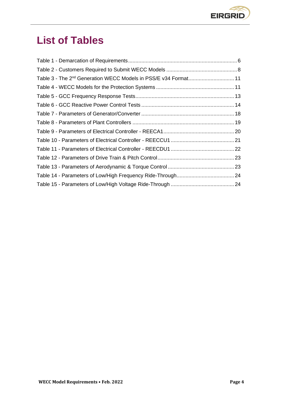

# <span id="page-3-0"></span>**List of Tables**

| Table 3 - The 2 <sup>nd</sup> Generation WECC Models in PSS/E v34 Format 11 |  |
|-----------------------------------------------------------------------------|--|
|                                                                             |  |
|                                                                             |  |
|                                                                             |  |
|                                                                             |  |
|                                                                             |  |
|                                                                             |  |
|                                                                             |  |
|                                                                             |  |
|                                                                             |  |
|                                                                             |  |
|                                                                             |  |
|                                                                             |  |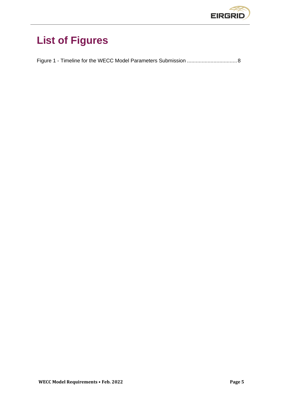

# <span id="page-4-0"></span>**List of Figures**

Figure 1 - [Timeline for the WECC Model Parameters Submission](#page-7-1) ..................................8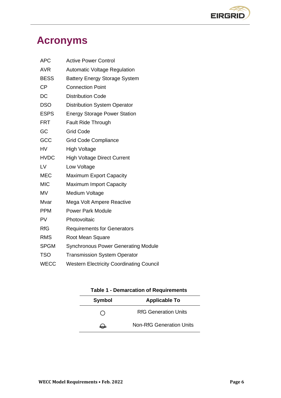

# <span id="page-5-0"></span>**Acronyms**

| <b>APC</b>  | <b>Active Power Control</b>                     |
|-------------|-------------------------------------------------|
| <b>AVR</b>  | <b>Automatic Voltage Regulation</b>             |
| <b>BESS</b> | <b>Battery Energy Storage System</b>            |
| <b>CP</b>   | <b>Connection Point</b>                         |
| DC          | <b>Distribution Code</b>                        |
| <b>DSO</b>  | <b>Distribution System Operator</b>             |
| <b>ESPS</b> | <b>Energy Storage Power Station</b>             |
| <b>FRT</b>  | <b>Fault Ride Through</b>                       |
| GC          | <b>Grid Code</b>                                |
| GCC         | <b>Grid Code Compliance</b>                     |
| <b>HV</b>   | <b>High Voltage</b>                             |
| <b>HVDC</b> | <b>High Voltage Direct Current</b>              |
| LV          | Low Voltage                                     |
| <b>MEC</b>  | <b>Maximum Export Capacity</b>                  |
| <b>MIC</b>  | <b>Maximum Import Capacity</b>                  |
| <b>MV</b>   | Medium Voltage                                  |
| Mvar        | Mega Volt Ampere Reactive                       |
| <b>PPM</b>  | <b>Power Park Module</b>                        |
| <b>PV</b>   | Photovoltaic                                    |
| <b>RfG</b>  | <b>Requirements for Generators</b>              |
| <b>RMS</b>  | Root Mean Square                                |
| <b>SPGM</b> | <b>Synchronous Power Generating Module</b>      |
| <b>TSO</b>  | <b>Transmission System Operator</b>             |
| <b>WECC</b> | <b>Western Electricity Coordinating Council</b> |

<span id="page-5-1"></span>

| <b>Table 1 - Demarcation of Requirements</b> |                                 |  |  |
|----------------------------------------------|---------------------------------|--|--|
| Symbol                                       | <b>Applicable To</b>            |  |  |
|                                              | <b>RfG Generation Units</b>     |  |  |
| $\rightarrow$                                | <b>Non-RfG Generation Units</b> |  |  |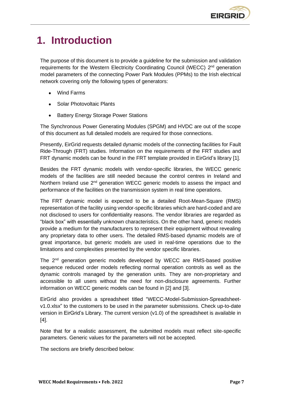# <span id="page-6-0"></span>**1. Introduction**

The purpose of this document is to provide a guideline for the submission and validation requirements for the Western Electricity Coordinating Council (WECC) 2<sup>nd</sup> generation model parameters of the connecting Power Park Modules (PPMs) to the Irish electrical network covering only the following types of generators:

- Wind Farms
- Solar Photovoltaic Plants
- **Battery Energy Storage Power Stations**

The Synchronous Power Generating Modules (SPGM) and HVDC are out of the scope of this document as full detailed models are required for those connections.

Presently, EirGrid requests detailed dynamic models of the connecting facilities for Fault Ride-Through (FRT) studies. Information on the requirements of the FRT studies and FRT dynamic models can be found in the FRT template provided in EirGrid's library [\[1\].](#page-15-1)

Besides the FRT dynamic models with vendor-specific libraries, the WECC generic models of the facilities are still needed because the control centres in Ireland and Northern Ireland use 2<sup>nd</sup> generation WECC generic models to assess the impact and performance of the facilities on the transmission system in real time operations.

The FRT dynamic model is expected to be a detailed Root-Mean-Square (RMS) representation of the facility using vendor-specific libraries which are hard-coded and are not disclosed to users for confidentiality reasons. The vendor libraries are regarded as "black box" with essentially unknown characteristics. On the other hand, generic models provide a medium for the manufacturers to represent their equipment without revealing any proprietary data to other users. The detailed RMS-based dynamic models are of great importance, but generic models are used in real-time operations due to the limitations and complexities presented by the vendor specific libraries.

The 2<sup>nd</sup> generation generic models developed by WECC are RMS-based positive sequence reduced order models reflecting normal operation controls as well as the dynamic controls managed by the generation units. They are non-proprietary and accessible to all users without the need for non-disclosure agreements. Further information on WECC generic models can be found in [\[2\]](#page-15-2) and [\[3\].](#page-15-3)

EirGrid also provides a spreadsheet titled "WECC-Model-Submission-Spreadsheetv1.0.xlsx" to the customers to be used in the parameter submissions. Check up-to-date version in EirGrid's Library. The current version (v1.0) of the spreadsheet is available in [\[4\].](#page-15-4)

Note that for a realistic assessment, the submitted models must reflect site-specific parameters. Generic values for the parameters will not be accepted.

The sections are briefly described below: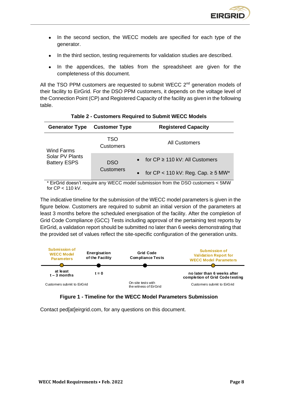

- In the second section, the WECC models are specified for each type of the generator.
- In the third section, testing requirements for validation studies are described.
- In the appendices, the tables from the spreadsheet are given for the completeness of this document.

All the TSO PPM customers are requested to submit WECC  $2<sup>nd</sup>$  generation models of their facility to EirGrid. For the DSO PPM customers, it depends on the voltage level of the Connection Point (CP) and Registered Capacity of the facility as given in the following table.

<span id="page-7-0"></span>

| <b>Generator Type</b>                  | <b>Customer Type</b> | <b>Registered Capacity</b>                  |
|----------------------------------------|----------------------|---------------------------------------------|
| Wind Farms                             | TSO<br>Customers     | <b>All Customers</b>                        |
| Solar PV Plants<br><b>Battery ESPS</b> | <b>DSO</b>           | • for $CP \ge 110$ kV: All Customers        |
|                                        | <b>Customers</b>     | • for $CP < 110$ kV: Reg. Cap. $\geq 5$ MW* |

**Table 2 - Customers Required to Submit WECC Models**

EirGrid doesn't require any WECC model submission from the DSO customers < 5MW for CP < 110 kV.

The indicative timeline for the submission of the WECC model parameters is given in the figure below. Customers are required to submit an initial version of the parameters at least 3 months before the scheduled energisation of the facility. After the completion of Grid Code Compliance (GCC) Tests including approval of the pertaining test reports by EirGrid, a validation report should be submitted no later than 6 weeks demonstrating that the provided set of values reflect the site-specific configuration of the generation units.





<span id="page-7-1"></span>Contact ped[at]eirgrid.com, for any questions on this document.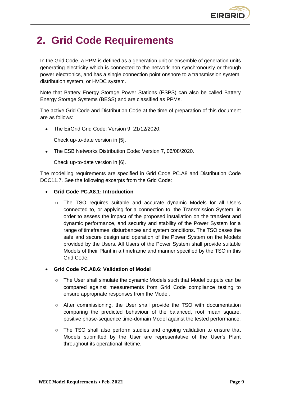

# <span id="page-8-0"></span>**2. Grid Code Requirements**

In the Grid Code, a PPM is defined as a generation unit or ensemble of generation units generating electricity which is connected to the network non-synchronously or through power electronics, and has a single connection point onshore to a transmission system, distribution system, or HVDC system.

Note that Battery Energy Storage Power Stations (ESPS) can also be called Battery Energy Storage Systems (BESS) and are classified as PPMs.

The active Grid Code and Distribution Code at the time of preparation of this document are as follows:

• The EirGrid Grid Code: Version 9, 21/12/2020.

Check up-to-date version in [\[5\].](#page-15-5)

• The ESB Networks Distribution Code: Version 7, 06/08/2020.

Check up-to-date version in [\[6\].](#page-15-6)

The modelling requirements are specified in Grid Code PC.A8 and Distribution Code DCC11.7. See the following excerpts from the Grid Code:

#### • **Grid Code PC.A8.1: Introduction**

 $\circ$  The TSO requires suitable and accurate dynamic Models for all Users connected to, or applying for a connection to, the Transmission System, in order to assess the impact of the proposed installation on the transient and dynamic performance, and security and stability of the Power System for a range of timeframes, disturbances and system conditions. The TSO bases the safe and secure design and operation of the Power System on the Models provided by the Users. All Users of the Power System shall provide suitable Models of their Plant in a timeframe and manner specified by the TSO in this Grid Code.

#### • **Grid Code PC.A8.6: Validation of Model**

- o The User shall simulate the dynamic Models such that Model outputs can be compared against measurements from Grid Code compliance testing to ensure appropriate responses from the Model.
- $\circ$  After commissioning, the User shall provide the TSO with documentation comparing the predicted behaviour of the balanced, root mean square, positive phase-sequence time-domain Model against the tested performance.
- o The TSO shall also perform studies and ongoing validation to ensure that Models submitted by the User are representative of the User's Plant throughout its operational lifetime.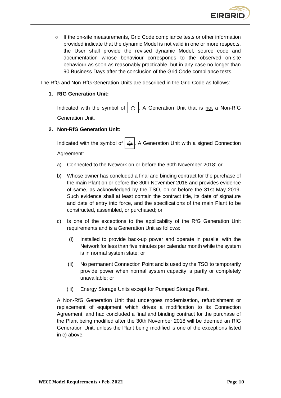

o If the on-site measurements, Grid Code compliance tests or other information provided indicate that the dynamic Model is not valid in one or more respects, the User shall provide the revised dynamic Model, source code and documentation whose behaviour corresponds to the observed on-site behaviour as soon as reasonably practicable, but in any case no longer than 90 Business Days after the conclusion of the Grid Code compliance tests.

The RfG and Non-RfG Generation Units are described in the Grid Code as follows:

#### **1. RfG Generation Unit:**

Indicated with the symbol of  $\circ$  . A Generation Unit that is not a Non-RfG Generation Unit.

#### **2. Non-RfG Generation Unit:**

Indicated with the symbol of  $\bigoplus$ . A Generation Unit with a signed Connection Agreement:

- a) Connected to the Network on or before the 30th November 2018; or
- b) Whose owner has concluded a final and binding contract for the purchase of the main Plant on or before the 30th November 2018 and provides evidence of same, as acknowledged by the TSO, on or before the 31st May 2019. Such evidence shall at least contain the contract title, its date of signature and date of entry into force, and the specifications of the main Plant to be constructed, assembled, or purchased; or
- c) Is one of the exceptions to the applicability of the RfG Generation Unit requirements and is a Generation Unit as follows:
	- (i) Installed to provide back-up power and operate in parallel with the Network for less than five minutes per calendar month while the system is in normal system state; or
	- (ii) No permanent Connection Point and is used by the TSO to temporarily provide power when normal system capacity is partly or completely unavailable; or
	- (iii) Energy Storage Units except for Pumped Storage Plant.

A Non-RfG Generation Unit that undergoes modernisation, refurbishment or replacement of equipment which drives a modification to its Connection Agreement, and had concluded a final and binding contract for the purchase of the Plant being modified after the 30th November 2018 will be deemed an RfG Generation Unit, unless the Plant being modified is one of the exceptions listed in c) above.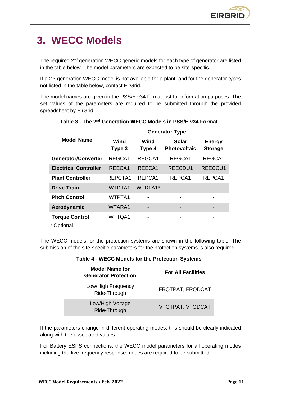# <span id="page-10-0"></span>**3. WECC Models**

The required 2<sup>nd</sup> generation WECC generic models for each type of generator are listed in the table below. The model parameters are expected to be site-specific.

If a  $2<sup>nd</sup>$  generation WECC model is not available for a plant, and for the generator types not listed in the table below, contact EirGrid.

The model names are given in the PSS/E v34 format just for information purposes. The set values of the parameters are required to be submitted through the provided spreadsheet by EirGrid.

<span id="page-10-1"></span>

|                              | <b>Generator Type</b> |                |                                     |                                 |
|------------------------------|-----------------------|----------------|-------------------------------------|---------------------------------|
| <b>Model Name</b>            | Wind<br>Type 3        | Wind<br>Type 4 | <b>Solar</b><br><b>Photovoltaic</b> | <b>Energy</b><br><b>Storage</b> |
| <b>Generator/Converter</b>   | REGCA1                | REGCA1         | REGCA1                              | REGCA1                          |
| <b>Electrical Controller</b> | REECA1                | REECA1         | REECDU1                             | REECCU1                         |
| <b>Plant Controller</b>      | REPCTA1               | REPCA1         | REPCA1                              | REPCA1                          |
| <b>Drive-Train</b>           | <b>WTDTA1</b>         | WTDTA1*        |                                     |                                 |
| <b>Pitch Control</b>         | WTPTA1                |                | -                                   |                                 |
| Aerodynamic                  | WTARA1                |                | -                                   |                                 |
| <b>Torque Control</b>        | WTTQA1                | -              | -                                   | -                               |

#### **Table 3 - The 2nd Generation WECC Models in PSS/E v34 Format**

\* Optional

<span id="page-10-2"></span>The WECC models for the protection systems are shown in the following table. The submission of the site-specific parameters for the protection systems is also required.

| $1800 - 11200$ models for the Frotection of Stems    |                           |  |
|------------------------------------------------------|---------------------------|--|
| <b>Model Name for</b><br><b>Generator Protection</b> | <b>For All Facilities</b> |  |
| Low/High Frequency<br>Ride-Through                   | FRQTPAT, FRQDCAT          |  |
| Low/High Voltage<br>Ride-Through                     | VTGTPAT, VTGDCAT          |  |

**Table 4 - WECC Models for the Protection Systems**

If the parameters change in different operating modes, this should be clearly indicated along with the associated values.

For Battery ESPS connections, the WECC model parameters for all operating modes including the five frequency response modes are required to be submitted.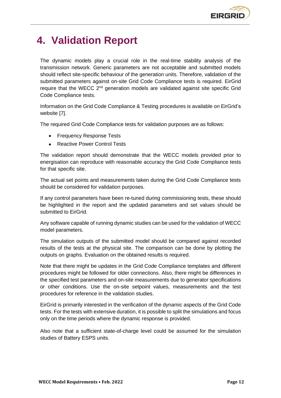

# <span id="page-11-0"></span>**4. Validation Report**

The dynamic models play a crucial role in the real-time stability analysis of the transmission network. Generic parameters are not acceptable and submitted models should reflect site-specific behaviour of the generation units. Therefore, validation of the submitted parameters against on-site Grid Code Compliance tests is required. EirGrid require that the WECC 2<sup>nd</sup> generation models are validated against site specific Grid Code Compliance tests.

Information on the Grid Code Compliance & Testing procedures is available on EirGrid's website [\[7\].](#page-15-7)

The required Grid Code Compliance tests for validation purposes are as follows:

- Frequency Response Tests
- Reactive Power Control Tests

The validation report should demonstrate that the WECC models provided prior to energisation can reproduce with reasonable accuracy the Grid Code Compliance tests for that specific site.

The actual set points and measurements taken during the Grid Code Compliance tests should be considered for validation purposes.

If any control parameters have been re-tuned during commissioning tests, these should be highlighted in the report and the updated parameters and set values should be submitted to EirGrid.

Any software capable of running dynamic studies can be used for the validation of WECC model parameters.

The simulation outputs of the submitted model should be compared against recorded results of the tests at the physical site. The comparison can be done by plotting the outputs on graphs. Evaluation on the obtained results is required.

Note that there might be updates in the Grid Code Compliance templates and different procedures might be followed for older connections. Also, there might be differences in the specified test parameters and on-site measurements due to generator specifications or other conditions. Use the on-site setpoint values, measurements and the test procedures for reference in the validation studies.

EirGrid is primarily interested in the verification of the dynamic aspects of the Grid Code tests. For the tests with extensive duration, it is possible to split the simulations and focus only on the time periods where the dynamic response is provided.

Also note that a sufficient state-of-charge level could be assumed for the simulation studies of Battery ESPS units.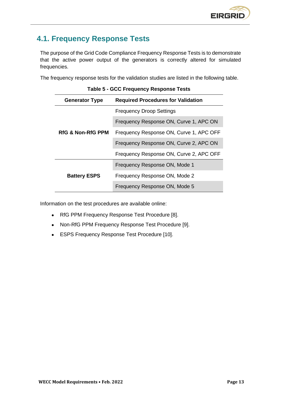# <span id="page-12-0"></span>**4.1. Frequency Response Tests**

The purpose of the Grid Code Compliance Frequency Response Tests is to demonstrate that the active power output of the generators is correctly altered for simulated frequencies.

<span id="page-12-1"></span>The frequency response tests for the validation studies are listed in the following table.

| rapic o coo rivquono, nooponoo rooto |                                           |  |  |
|--------------------------------------|-------------------------------------------|--|--|
| <b>Generator Type</b>                | <b>Required Procedures for Validation</b> |  |  |
|                                      | <b>Frequency Droop Settings</b>           |  |  |
|                                      | Frequency Response ON, Curve 1, APC ON    |  |  |
| <b>RfG &amp; Non-RfG PPM</b>         | Frequency Response ON, Curve 1, APC OFF   |  |  |
|                                      | Frequency Response ON, Curve 2, APC ON    |  |  |
|                                      | Frequency Response ON, Curve 2, APC OFF   |  |  |
|                                      | Frequency Response ON, Mode 1             |  |  |
| <b>Battery ESPS</b>                  | Frequency Response ON, Mode 2             |  |  |
|                                      | Frequency Response ON, Mode 5             |  |  |

Information on the test procedures are available online:

- RfG PPM Frequency Response Test Procedure [\[8\].](#page-15-8)
- Non-RfG PPM Frequency Response Test Procedure [\[9\].](#page-15-9)
- ESPS Frequency Response Test Procedure [\[10\].](#page-15-10)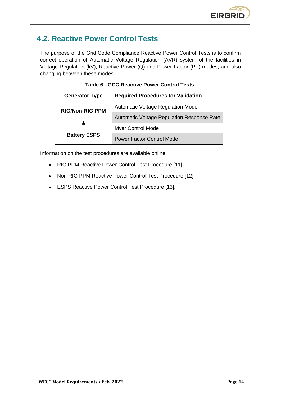# <span id="page-13-0"></span>**4.2. Reactive Power Control Tests**

The purpose of the Grid Code Compliance Reactive Power Control Tests is to confirm correct operation of Automatic Voltage Regulation (AVR) system of the facilities in Voltage Regulation (kV), Reactive Power (Q) and Power Factor (PF) modes, and also changing between these modes.

| <b>Generator Type</b>  | <b>Required Procedures for Validation</b>  |  |  |
|------------------------|--------------------------------------------|--|--|
| <b>RfG/Non-RfG PPM</b> | <b>Automatic Voltage Regulation Mode</b>   |  |  |
|                        | Automatic Voltage Regulation Response Rate |  |  |
| &                      | <b>Mvar Control Mode</b>                   |  |  |
| <b>Battery ESPS</b>    | <b>Power Factor Control Mode</b>           |  |  |

<span id="page-13-1"></span>

Information on the test procedures are available online:

- RfG PPM Reactive Power Control Test Procedure [\[11\].](#page-15-11)
- Non-RfG PPM Reactive Power Control Test Procedure [\[12\].](#page-15-12)
- ESPS Reactive Power Control Test Procedure [\[13\].](#page-15-13)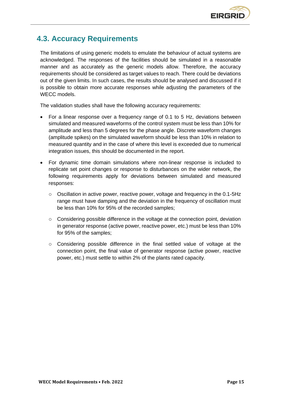

# <span id="page-14-0"></span>**4.3. Accuracy Requirements**

The limitations of using generic models to emulate the behaviour of actual systems are acknowledged. The responses of the facilities should be simulated in a reasonable manner and as accurately as the generic models allow. Therefore, the accuracy requirements should be considered as target values to reach. There could be deviations out of the given limits. In such cases, the results should be analysed and discussed if it is possible to obtain more accurate responses while adjusting the parameters of the WECC models.

The validation studies shall have the following accuracy requirements:

- For a linear response over a frequency range of 0.1 to 5 Hz, deviations between simulated and measured waveforms of the control system must be less than 10% for amplitude and less than 5 degrees for the phase angle. Discrete waveform changes (amplitude spikes) on the simulated waveform should be less than 10% in relation to measured quantity and in the case of where this level is exceeded due to numerical integration issues, this should be documented in the report.
- For dynamic time domain simulations where non-linear response is included to replicate set point changes or response to disturbances on the wider network, the following requirements apply for deviations between simulated and measured responses:
	- o Oscillation in active power, reactive power, voltage and frequency in the 0.1-5Hz range must have damping and the deviation in the frequency of oscillation must be less than 10% for 95% of the recorded samples;
	- $\circ$  Considering possible difference in the voltage at the connection point, deviation in generator response (active power, reactive power, etc.) must be less than 10% for 95% of the samples;
	- o Considering possible difference in the final settled value of voltage at the connection point, the final value of generator response (active power, reactive power, etc.) must settle to within 2% of the plants rated capacity.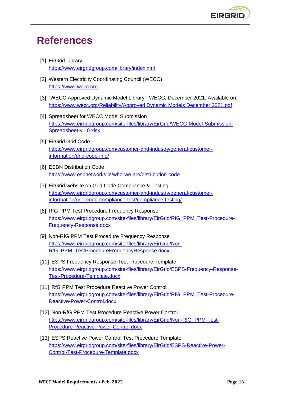# <span id="page-15-0"></span>**References**

- <span id="page-15-1"></span>[1] EirGrid Library <https://www.eirgridgroup.com/library/index.xml>
- <span id="page-15-2"></span>[2] Western Electricity Coordinating Council (WECC) [https://www.wecc.org](https://www.wecc.org/)
- <span id="page-15-3"></span>[3] "WECC Approved Dynamic Model Library", WECC, December 2021. Available on: [https://www.wecc.org/Reliability/Approved Dynamic Models December 2021.pdf](https://www.wecc.org/Reliability/Approved%20Dynamic%20Models%20December%202021.pdf)
- <span id="page-15-4"></span>[4] Spreadsheet for WECC Model Submission [https://www.eirgridgroup.com/site-files/library/EirGrid/WECC-Model-Submission-](https://www.eirgridgroup.com/site-files/library/EirGrid/WECC-Model-Submission-Spreadsheet-v1.0.xlsx)[Spreadsheet-v1.0.xlsx](https://www.eirgridgroup.com/site-files/library/EirGrid/WECC-Model-Submission-Spreadsheet-v1.0.xlsx)
- <span id="page-15-5"></span>[5] EirGrid Grid Code [https://www.eirgridgroup.com/customer-and-industry/general-customer](https://www.eirgridgroup.com/customer-and-industry/general-customer-information/grid-code-info/)[information/grid-code-info/](https://www.eirgridgroup.com/customer-and-industry/general-customer-information/grid-code-info/)
- <span id="page-15-6"></span>[6] ESBN Distribution Code <https://www.esbnetworks.ie/who-we-are/distribution-code>
- <span id="page-15-7"></span>[7] EirGrid website on Grid Code Compliance & Testing [https://www.eirgridgroup.com/customer-and-industry/general-customer](https://www.eirgridgroup.com/customer-and-industry/general-customer-information/grid-code-compliance-test/compliance-testing/)[information/grid-code-compliance-test/compliance-testing/](https://www.eirgridgroup.com/customer-and-industry/general-customer-information/grid-code-compliance-test/compliance-testing/)
- <span id="page-15-8"></span>[8] RfG PPM Test Procedure Frequency Response [https://www.eirgridgroup.com/site-files/library/EirGrid/RfG\\_PPM\\_Test-Procedure-](https://www.eirgridgroup.com/site-files/library/EirGrid/RfG_PPM_Test-Procedure-Frequency-Response.docx)[Frequency-Response.docx](https://www.eirgridgroup.com/site-files/library/EirGrid/RfG_PPM_Test-Procedure-Frequency-Response.docx)
- <span id="page-15-9"></span>[9] Non-RfG PPM Test Procedure Frequency Response [https://www.eirgridgroup.com/site-files/library/EirGrid/Non-](https://www.eirgridgroup.com/site-files/library/EirGrid/Non-RfG_PPM_TestProcedureFrequencyResponse.docx)[RfG\\_PPM\\_TestProcedureFrequencyResponse.docx](https://www.eirgridgroup.com/site-files/library/EirGrid/Non-RfG_PPM_TestProcedureFrequencyResponse.docx)
- <span id="page-15-10"></span>[10] ESPS Frequency Response Test Procedure Template [https://www.eirgridgroup.com/site-files/library/EirGrid/ESPS-Frequency-Response-](https://www.eirgridgroup.com/site-files/library/EirGrid/ESPS-Frequency-Response-Test-Procedure-Template.docx)[Test-Procedure-Template.docx](https://www.eirgridgroup.com/site-files/library/EirGrid/ESPS-Frequency-Response-Test-Procedure-Template.docx)
- <span id="page-15-11"></span>[11] RfG PPM Test Procedure Reactive Power Control [https://www.eirgridgroup.com/site-files/library/EirGrid/RfG\\_PPM\\_Test-Procedure-](https://www.eirgridgroup.com/site-files/library/EirGrid/RfG_PPM_Test-Procedure-Reactive-Power-Control.docx)[Reactive-Power-Control.docx](https://www.eirgridgroup.com/site-files/library/EirGrid/RfG_PPM_Test-Procedure-Reactive-Power-Control.docx)
- <span id="page-15-12"></span>[12] Non-RfG PPM Test Procedure Reactive Power Control [https://www.eirgridgroup.com/site-files/library/EirGrid/Non-RfG\\_PPM-Test-](https://www.eirgridgroup.com/site-files/library/EirGrid/Non-RfG_PPM-Test-Procedure-Reactive-Power-Control.docx)[Procedure-Reactive-Power-Control.docx](https://www.eirgridgroup.com/site-files/library/EirGrid/Non-RfG_PPM-Test-Procedure-Reactive-Power-Control.docx)
- <span id="page-15-13"></span>[13] ESPS Reactive Power Control Test Procedure Template [https://www.eirgridgroup.com/site-files/library/EirGrid/ESPS-Reactive-Power-](https://www.eirgridgroup.com/site-files/library/EirGrid/ESPS-Reactive-Power-Control-Test-Procedure-Template.docx)[Control-Test-Procedure-Template.docx](https://www.eirgridgroup.com/site-files/library/EirGrid/ESPS-Reactive-Power-Control-Test-Procedure-Template.docx)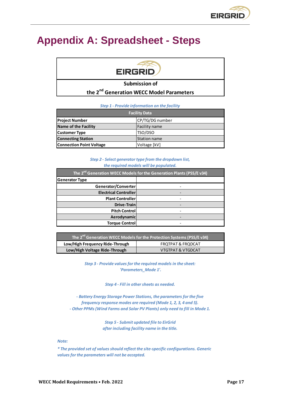# <span id="page-16-0"></span>**Appendix A: Spreadsheet - Steps**

# **EIRGRID**

#### **Submission of**

### **the 2nd Generation WECC Model Parameters**

| <b>Step 1 - Provide information on the facility</b> |  |  |
|-----------------------------------------------------|--|--|
|-----------------------------------------------------|--|--|

| <b>Facility Data</b>            |                     |  |  |
|---------------------------------|---------------------|--|--|
| <b>Project Number</b>           | CP/TG/DG number     |  |  |
| Name of the Facility            | Facility name       |  |  |
| <b>Customer Type</b>            | TSO/DSO             |  |  |
| <b>Connecting Station</b>       | <b>Station name</b> |  |  |
| <b>Connection Point Voltage</b> | Voltage [kV]        |  |  |

#### *Step 2 - Select generator type from the dropdown list, the required models will be populated.*

| The 2 <sup>nd</sup> Generation WECC Models for the Generation Plants (PSS/E v34) |  |  |  |
|----------------------------------------------------------------------------------|--|--|--|
| <b>Generator Type</b>                                                            |  |  |  |
| Generator/Converter                                                              |  |  |  |
| <b>Electrical Controller</b>                                                     |  |  |  |
| <b>Plant Controller</b>                                                          |  |  |  |
| Drive-Train                                                                      |  |  |  |
| <b>Pitch Control</b>                                                             |  |  |  |
| Aerodynamic                                                                      |  |  |  |
| <b>Torque Control</b>                                                            |  |  |  |

| The 2 <sup>nd</sup> Generation WECC Models for the Protection Systems (PSS/E v34) |  |  |  |
|-----------------------------------------------------------------------------------|--|--|--|
| Low/High Frequency Ride-Through<br><b>FROTPAT &amp; FRODCAT</b>                   |  |  |  |
| Low/High Voltage Ride-Through<br><b>VTGTPAT &amp; VTGDCAT</b>                     |  |  |  |

*Step 3 - Provide values for the required models in the sheet: 'Parameters\_Mode 1'.*

#### *Step 4 - Fill in other sheets as needed.*

*- Battery Energy Storage Power Stations, the parameters for the five frequency response modes are required (Mode 1, 2, 3, 4 and 5). - Other PPMs (Wind Farms and Solar PV Plants) only need to fill in Mode 1.*

> *Step 5 - Submit updated file to EirGrid after including facility name in the title.*

#### *Note:*

*\* The provided set of values should reflect the site-specific configurations. Generic values for the parameters will not be accepted.*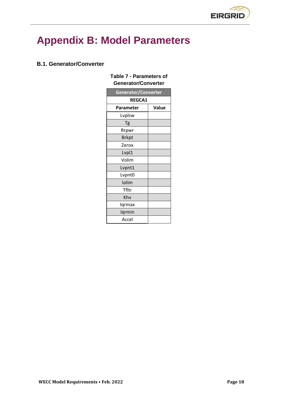

# <span id="page-17-0"></span>**Appendix B: Model Parameters**

### <span id="page-17-2"></span><span id="page-17-1"></span>**B.1. Generator/Converter**

### **Table 7 - Parameters of Generator/Converter**

| Generator/Converter |       |  |  |  |
|---------------------|-------|--|--|--|
| <b>REGCA1</b>       |       |  |  |  |
| Parameter           | Value |  |  |  |
| Lvplsw              |       |  |  |  |
| Tg                  |       |  |  |  |
| Rrpwr               |       |  |  |  |
| <b>Brkpt</b>        |       |  |  |  |
| Zerox               |       |  |  |  |
| Lvpl1               |       |  |  |  |
| Volim               |       |  |  |  |
| Lvpnt1              |       |  |  |  |
| Lvpnt0              |       |  |  |  |
| Iolim               |       |  |  |  |
| Tfltr               |       |  |  |  |
| Khy                 |       |  |  |  |
| Iqrmax              |       |  |  |  |
| Iqrmin              |       |  |  |  |
| Accel               |       |  |  |  |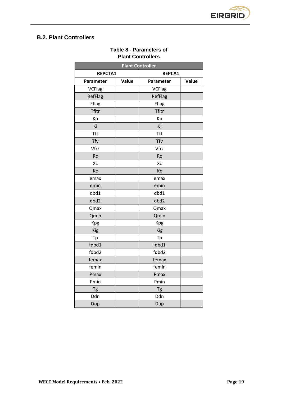

# <span id="page-18-1"></span><span id="page-18-0"></span>**B.2. Plant Controllers**

| <b>Plant Controller</b> |       |               |       |
|-------------------------|-------|---------------|-------|
| <b>REPCTA1</b>          |       | REPCA1        |       |
| Parameter               | Value | Parameter     | Value |
| <b>VCFlag</b>           |       | <b>VCFlag</b> |       |
| RefFlag                 |       | RefFlag       |       |
| Fflag                   |       | Fflag         |       |
| Tfltr                   |       | Tfltr         |       |
| Kp                      |       | Kp            |       |
| Ki                      |       | Ki            |       |
| <b>Tft</b>              |       | <b>Tft</b>    |       |
| Tfv                     |       | Tfv           |       |
| Vfrz                    |       | Vfrz          |       |
| <b>Rc</b>               |       | <b>Rc</b>     |       |
| Xc                      |       | Xc            |       |
| Kc                      |       | Kc            |       |
| emax                    |       | emax          |       |
| emin                    |       | emin          |       |
| dbd1                    |       | dbd1          |       |
| dbd2                    |       | dbd2          |       |
| Qmax                    |       | Qmax          |       |
| Qmin                    |       | Qmin          |       |
| Kpg                     |       | Kpg           |       |
| Kig                     |       | Kig           |       |
| Tp                      |       | Tp            |       |
| fdbd1                   |       | fdbd1         |       |
| fdbd2                   |       | fdbd2         |       |
| femax                   |       | femax         |       |
| femin                   |       | femin         |       |
| Pmax                    |       | Pmax          |       |
| Pmin                    |       | Pmin          |       |
| Tg                      |       | Tg            |       |
| Ddn                     |       | Ddn           |       |
| Dup                     |       | Dup           |       |

### **Table 8 - Parameters of Plant Controllers**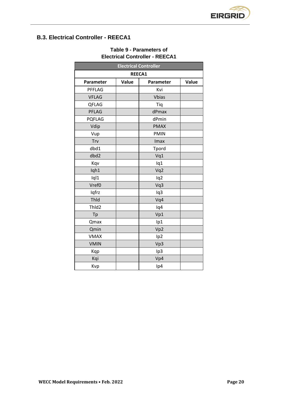

# <span id="page-19-1"></span><span id="page-19-0"></span>**B.3. Electrical Controller - REECA1**

| <b>Electrical Controller</b> |       |                 |       |  |  |
|------------------------------|-------|-----------------|-------|--|--|
| REECA1                       |       |                 |       |  |  |
| Parameter                    | Value | Parameter       | Value |  |  |
| PFFLAG                       |       | Kvi             |       |  |  |
| <b>VFLAG</b>                 |       | <b>Vbias</b>    |       |  |  |
| QFLAG                        |       | Tiq             |       |  |  |
| PFLAG                        |       | dPmax           |       |  |  |
| <b>PQFLAG</b>                |       | dPmin           |       |  |  |
| Vdip                         |       | <b>PMAX</b>     |       |  |  |
| Vup                          |       | <b>PMIN</b>     |       |  |  |
| Trv                          |       | Imax            |       |  |  |
| dbd1                         |       | Tpord           |       |  |  |
| dbd2                         |       | Vq1             |       |  |  |
| Kqv                          |       | lq1             |       |  |  |
| Iqh1                         |       | Vq2             |       |  |  |
| Iql1                         |       | lq2             |       |  |  |
| Vref0                        |       | Vq3             |       |  |  |
| Iqfrz                        |       | Iq3             |       |  |  |
| Thid                         |       | Vq4             |       |  |  |
| ThId2                        |       | lq4             |       |  |  |
| Tp                           |       | Vp1             |       |  |  |
| Qmax                         |       | lp1             |       |  |  |
| Qmin                         |       | Vp <sub>2</sub> |       |  |  |
| <b>VMAX</b>                  |       | lp <sub>2</sub> |       |  |  |
| <b>VMIN</b>                  |       | Vp3             |       |  |  |
| Kqp                          |       | Ip3             |       |  |  |
| Kqi                          |       | Vp4             |       |  |  |
| Kvp                          |       | lp4             |       |  |  |

### **Table 9 - Parameters of Electrical Controller - REECA1**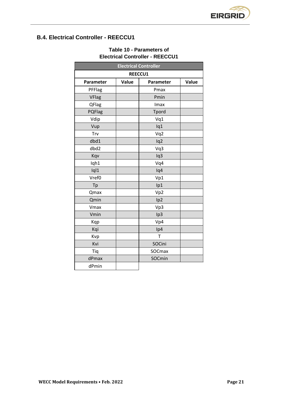

# <span id="page-20-1"></span><span id="page-20-0"></span>**B.4. Electrical Controller - REECCU1**

| <b>Electrical Controller</b> |       |                 |       |  |
|------------------------------|-------|-----------------|-------|--|
| <b>REECCU1</b>               |       |                 |       |  |
| Parameter                    | Value | Parameter       | Value |  |
| PFFlag                       |       | Pmax            |       |  |
| <b>VFlag</b>                 |       | Pmin            |       |  |
| QFlag                        |       | Imax            |       |  |
| PQFlag                       |       | Tpord           |       |  |
| Vdip                         |       | Vq1             |       |  |
| Vup                          |       | lq1             |       |  |
| Trv                          |       | Vq2             |       |  |
| dbd1                         |       | lq2             |       |  |
| dbd2                         |       | Vq3             |       |  |
| Kqv                          |       | Iq3             |       |  |
| Iqh1                         |       | Vq4             |       |  |
| Iql1                         |       | lq4             |       |  |
| Vref0                        |       | Vp1             |       |  |
| Tp                           |       | Ip1             |       |  |
| Qmax                         |       | Vp2             |       |  |
| Qmin                         |       | Ip <sub>2</sub> |       |  |
| Vmax                         |       | Vp3             |       |  |
| Vmin                         |       | Ip3             |       |  |
| Kqp                          |       | Vp4             |       |  |
| Kqi                          |       | Ip4             |       |  |
| Kvp                          |       | T               |       |  |
| Kvi                          |       | SOCini          |       |  |
| Tiq                          |       | SOCmax          |       |  |
| dPmax                        |       | SOCmin          |       |  |
| dPmin                        |       |                 |       |  |

### **Table 10 - Parameters of Electrical Controller - REECCU1**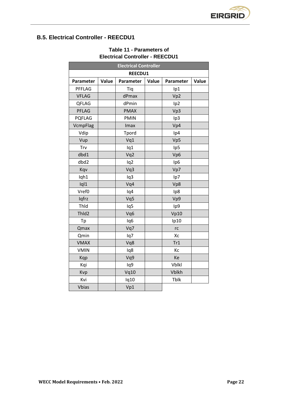

## <span id="page-21-1"></span><span id="page-21-0"></span>**B.5. Electrical Controller - REECDU1**

| <b>Electrical Controller</b> |       |                 |       |                 |       |
|------------------------------|-------|-----------------|-------|-----------------|-------|
|                              |       | REECDU1         |       |                 |       |
| Parameter                    | Value | Parameter       | Value | Parameter       | Value |
| PFFLAG                       |       | Tiq             |       | Ip1             |       |
| <b>VFLAG</b>                 |       | dPmax           |       | Vp2             |       |
| QFLAG                        |       | dPmin           |       | Ip <sub>2</sub> |       |
| <b>PFLAG</b>                 |       | <b>PMAX</b>     |       | Vp3             |       |
| <b>PQFLAG</b>                |       | <b>PMIN</b>     |       | Ip3             |       |
| VcmpFlag                     |       | Imax            |       | Vp4             |       |
| Vdip                         |       | Tpord           |       | Ip4             |       |
| Vup                          |       | Vq1             |       | Vp5             |       |
| Trv                          |       | lq1             |       | Ip5             |       |
| dbd1                         |       | Vq2             |       | Vp6             |       |
| dbd2                         |       | lq2             |       | Ip <sub>6</sub> |       |
| Kqv                          |       | Vq3             |       | Vp7             |       |
| Iqh1                         |       | lq3             |       | lp7             |       |
| Iql1                         |       | Vq4             |       | Vp8             |       |
| Vref0                        |       | lq4             |       | Ip8             |       |
| Iqfrz                        |       | Vq5             |       | Vp9             |       |
| Thid                         |       | lq5             |       | Ip9             |       |
| ThId2                        |       | Vq6             |       | Vp10            |       |
| Tp                           |       | Iq <sub>6</sub> |       | lp10            |       |
| Qmax                         |       | Vq7             |       | rc              |       |
| Qmin                         |       | lq7             |       | Xc              |       |
| <b>VMAX</b>                  |       | Vq8             |       | Tr1             |       |
| <b>VMIN</b>                  |       | lq8             |       | Кc              |       |
| Kqp                          |       | Vq9             |       | Ke              |       |
| Kqi                          |       | lq9             |       | <b>Vblkl</b>    |       |
| Kvp                          |       | Vq10            |       | <b>Vblkh</b>    |       |
| Kvi                          |       | Iq10            |       | Tblk            |       |
| <b>Vbias</b>                 |       | Vp1             |       |                 |       |

### **Table 11 - Parameters of Electrical Controller - REECDU1**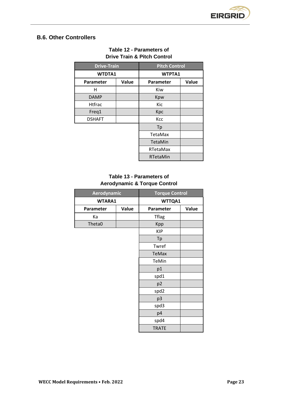

## <span id="page-22-1"></span><span id="page-22-0"></span>**B.6. Other Controllers**

| <b>Drive-Train</b> |       | <b>Pitch Control</b> |       |
|--------------------|-------|----------------------|-------|
| <b>WTDTA1</b>      |       | WTPTA1               |       |
| Parameter          | Value | Parameter            | Value |
| н                  |       | Kiw                  |       |
| <b>DAMP</b>        |       | Kpw                  |       |
| <b>Htfrac</b>      |       | Kic                  |       |
| Freq1              |       | Kpc                  |       |
| <b>DSHAFT</b>      |       | Kcc                  |       |
|                    |       | Tp                   |       |
|                    |       | TetaMax              |       |
|                    |       | TetaMin              |       |
|                    |       | RTetaMax             |       |
|                    |       | <b>RTetaMin</b>      |       |

### **Table 12 - Parameters of Drive Train & Pitch Control**

### **Table 13 - Parameters of Aerodynamic & Torque Control**

<span id="page-22-2"></span>

| Aerodynamic   |       | <b>Torque Control</b> |       |
|---------------|-------|-----------------------|-------|
| <b>WTARA1</b> |       | WTTQA1                |       |
| Parameter     | Value | Parameter             | Value |
| Кa            |       | <b>Tflag</b>          |       |
| Theta0        |       | Kpp                   |       |
|               |       | <b>KIP</b>            |       |
|               |       | Tp                    |       |
|               |       | Twref                 |       |
|               |       | <b>TeMax</b>          |       |
|               |       | TeMin                 |       |
|               |       | p1                    |       |
|               |       | spd1                  |       |
|               |       | p <sub>2</sub>        |       |
|               |       | spd2                  |       |
|               |       | p <sub>3</sub>        |       |
|               |       | spd3                  |       |
|               |       | p4                    |       |
|               |       | spd4                  |       |
|               |       | <b>TRATE</b>          |       |